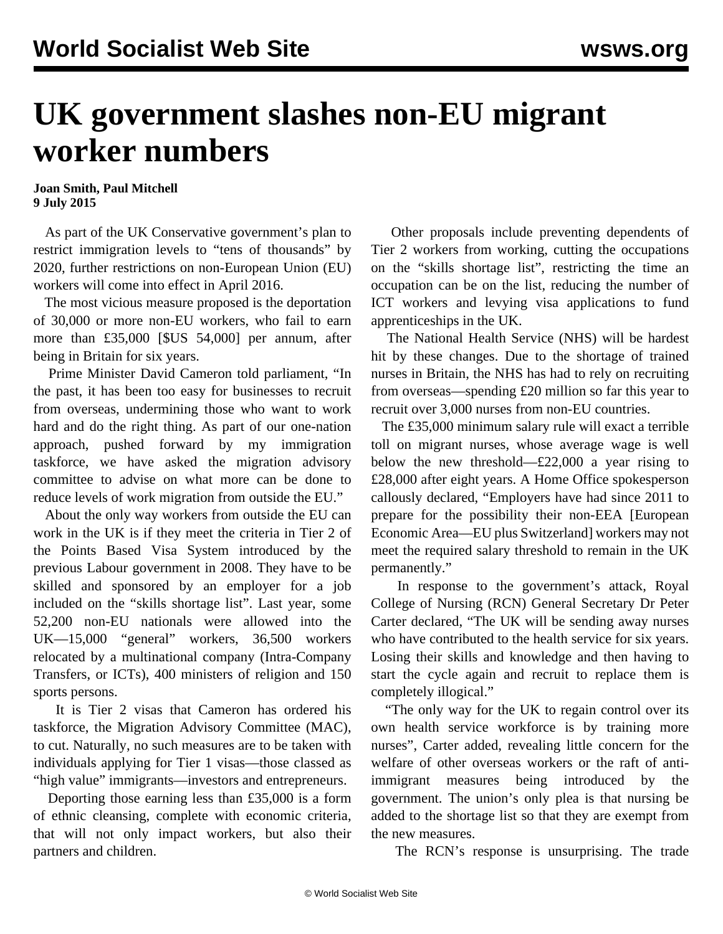## **UK government slashes non-EU migrant worker numbers**

**Joan Smith, Paul Mitchell 9 July 2015**

 As part of the UK Conservative government's plan to restrict immigration levels to "tens of thousands" by 2020, further restrictions on non-European Union (EU) workers will come into effect in April 2016.

 The most vicious measure proposed is the deportation of 30,000 or more non-EU workers, who fail to earn more than £35,000 [\$US 54,000] per annum, after being in Britain for six years.

 Prime Minister David Cameron told parliament, "In the past, it has been too easy for businesses to recruit from overseas, undermining those who want to work hard and do the right thing. As part of our one-nation approach, pushed forward by my immigration taskforce, we have asked the migration advisory committee to advise on what more can be done to reduce levels of work migration from outside the EU."

 About the only way workers from outside the EU can work in the UK is if they meet the criteria in Tier 2 of the Points Based Visa System introduced by the previous Labour government in 2008. They have to be skilled and sponsored by an employer for a job included on the "skills shortage list". Last year, some 52,200 non-EU nationals were allowed into the UK—15,000 "general" workers, 36,500 workers relocated by a multinational company (Intra-Company Transfers, or ICTs), 400 ministers of religion and 150 sports persons.

 It is Tier 2 visas that Cameron has ordered his taskforce, the Migration Advisory Committee (MAC), to cut. Naturally, no such measures are to be taken with individuals applying for Tier 1 visas—those classed as "high value" immigrants—investors and entrepreneurs.

 Deporting those earning less than £35,000 is a form of ethnic cleansing, complete with economic criteria, that will not only impact workers, but also their partners and children.

 Other proposals include preventing dependents of Tier 2 workers from working, cutting the occupations on the "skills shortage list", restricting the time an occupation can be on the list, reducing the number of ICT workers and levying visa applications to fund apprenticeships in the UK.

 The National Health Service (NHS) will be hardest hit by these changes. Due to the shortage of trained nurses in Britain, the NHS has had to rely on recruiting from overseas—spending £20 million so far this year to recruit over 3,000 nurses from non-EU countries.

 The £35,000 minimum salary rule will exact a terrible toll on migrant nurses, whose average wage is well below the new threshold—£22,000 a year rising to £28,000 after eight years. A Home Office spokesperson callously declared, "Employers have had since 2011 to prepare for the possibility their non-EEA [European Economic Area—EU plus Switzerland] workers may not meet the required salary threshold to remain in the UK permanently."

 In response to the government's attack, Royal College of Nursing (RCN) General Secretary Dr Peter Carter declared, "The UK will be sending away nurses who have contributed to the health service for six years. Losing their skills and knowledge and then having to start the cycle again and recruit to replace them is completely illogical."

 "The only way for the UK to regain control over its own health service workforce is by training more nurses", Carter added, revealing little concern for the welfare of other overseas workers or the raft of antiimmigrant measures being introduced by the government. The union's only plea is that nursing be added to the shortage list so that they are exempt from the new measures.

The RCN's response is unsurprising. The trade